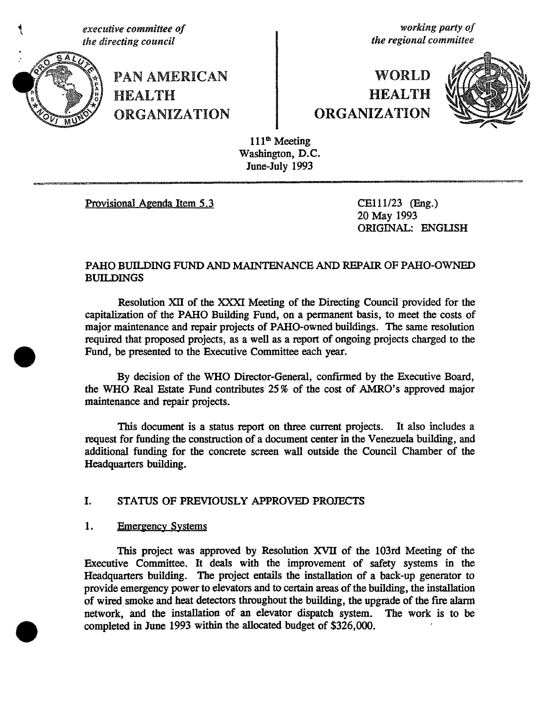**th**e **dir**e**cting council the re**g**ional committee**



**PAN AMERICAN HEALTH** 

**executive committee of**<br> **executive committee**<br> **executive council**<br> **executive council**<br> **executive committee**<br> **executive committee** 

# WORLD **HEALTH** URGANIZATION QRGANIZATION



111<sup>th</sup> Meeting Washington, D.C. June-July 1993

Provisional Agenda Item 5.3 CEl11**/**23 (*E*ng.)

20 May 1993 ORIGINAL: ENGLISH

# *P*A*H*O *B*UILDIN*G* FUND AND MAINTENANCE AND R*E*PAIR OF *P*A*H*O-OWN'ED *B*U*H*.J)IN*GS*

*R*e*s*olution XII of the XXXI Meeti*n*g of the *D*irecting Coun*cil* p*ro*v*i*ded fo*r* the capitalization of the PAHO Building Fund, on a permanent basis, to meet the costs of major maintenance and repair projects of PA*H*O-owned buildi*n*gs. The same resolution required that proposed proje**c**ts, as a well as a report of ongoi*n*g projects charged to the Fund, be presented to the *E*xecutive Committee each year.

*B*y decision of the W*H*O Director-*G*ener*a*l, confi*r*med by the Executive Board, the W*H*O Real *E*state Fund contributes 25 **%** of the cost of AMRO's approved major mainte*n*ance and r**e**pair projects*.*

This document is a status report on three current projects. It also includes a request for funding the construction of a document center in the Venezuela building, a*n*d additional fundi*n*g for the concrete sc*r*een wall outside the Council Chamber of the *H*ea*d*q*u*a*r*ters building.

## I. STATUS OF PREVIOUSLY APPROVED PROJECTS

## 1. *Emergency Systems*

This project was approved by Resolution XVII of the 103rd Meeting of the Executiv*e* Committee. It deal*s* with the improvement *of* safety sy*s*tems in t*h*e *H*eadquarters buildi*n*g. The project entails the installation of a back-up generator to provide *e*mergency power to elevators and to certain areas of the building, the installatio*n* of wi*r*ed *s*moke a*n*d heat detectors throughout the building, the upgrade of the fire ala**r**m network, and the installation of an elevator dispatch system. completed in June 1993 within the allocated budget of \$326,000.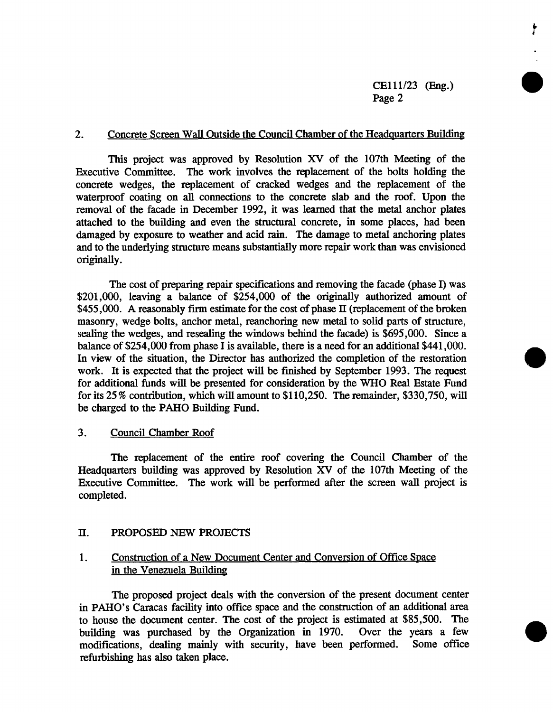۲

#### 2. Concrete Screen Wall Outside the Council Chamber of the Headquarters Building

This projec*t w*a*s* approved by Resolutio*n* XV of *th*e 1*0*7th Meeting *o*f t*h*e Executive Committee. The work involves the replacement of the bolts holding the concrete wedges, the replacement of cracked wedges and the replacement of the waterproof coating on all connections to the concrete slab and the roof. Upon the removal of the facade in December 1992, it was learned that the metal anchor plates attached to the building and even the structural concrete, in some places, had been damaged by exposure to weather and acid rain. The damage to metal anchoring plates and to the underlying structure means substantially more repair work than was envisioned *o*riginally.

The cost of preparing repair specifications and removing the facade (phase  $I$ ) was \$201,000, leaving a balance of \$254,000 of the originally authorized amount of \$455,000. A reasonably firm estimate for the cost of phase II (replacement of the broken masonry, wedge bolts, anchor metal, reanchoring new metal to solid parts of structure, sealing the wedges, and resealing the windows behind the facade) is \$695,000. Since a balance of \$254,000 from phase I is available, there is a need for an additional \$441**,**000. In view of the situation, the Director has authorized the completion of the restoration work. It is expected that the project will be finished by September 1993. The request for additional funds will be presented for consideration by the WHO Real Estate Fund for its 25 % contribution, which will amount to \$110,250. The remainder, \$330**,**750, will be charged to the PAHO Building Fund.

## 3*. Council Chamber Roof*

The replacement of the entire roof covering the Council Chamber of the Headquarters building was approved by Resolution XV of the 107th Meeting of the Executive Committee. The work will be performed after the screen wall project is completed.

#### *H*. *P*RO*P*O*S*ED NEW PROJECTS

## 1. Construction of a New Document Center and Conversion of Office Space in the Venezuela Building

The proposed pr*o*ject deals with the conversi*o*n *o*f the present document center in PAHO's Caracas facility int*o off*ice space and the constructi*o*n *o*f an additi*o*nal area to house the document center. The cost of the project is estimated at \$85,500. The building was purchased by the Organization in 1970. Over the years a few building was purchased by the Organization in 1970. Over the years a few modifications, dealing mainly with security, have been performed. Some office modifications, dealing mainly with security, have been performed. refurb*i*shing *h*as also taken pla*c*e.